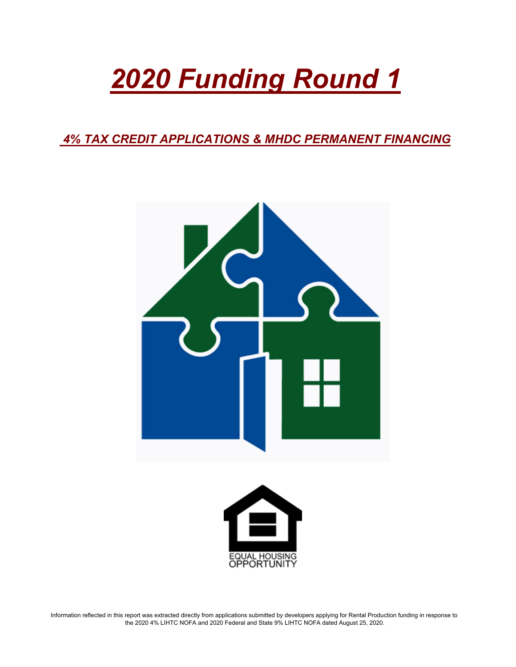# *2020 Funding Round 1*

 *4% TAX CREDIT APPLICATIONS & MHDC PERMANENT FINANCING*





Information reflected in this report was extracted directly from applications submitted by developers applying for Rental Production funding in response to the 2020 4% LIHTC NOFA and 2020 Federal and State 9% LIHTC NOFA dated August 25, 2020.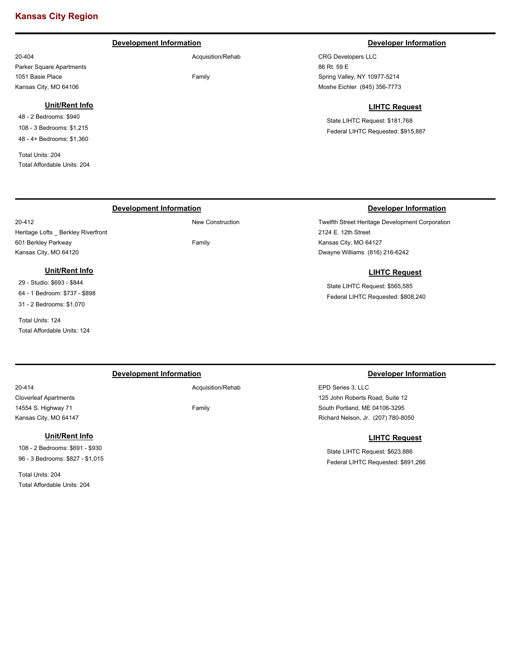### **Kansas City Region**

#### **Development Information Developer Information**

Acquisition/Rehab

Family

### 20-404 Parker Square Apartments 1051 Basie Place Kansas City, MO 64106

#### **Unit/Rent Info**

48 - 2 Bedrooms: \$940 108 - 3 Bedrooms: \$1,215 48 - 4+ Bedrooms: \$1,360

Total Units: 204 Total Affordable Units: 204

20-412

CRG Developers LLC 86 Rt. 59 E Spring Valley, NY 10977-5214 Moshe Eichler (845) 356-7773

#### **LIHTC Request**

State LIHTC Request: \$181,768 Federal LIHTC Requested: \$915,887

#### **Development Information Developer Information**

Twelfth Street Heritage Development Corporation 2124 E. 12th Street Kansas City, MO 64127 Dwayne Williams (816) 216-6242

#### **LIHTC Request**

State LIHTC Request: \$565,585 Federal LIHTC Requested: \$808,240

#### **Unit/Rent Info** 29 - Studio: \$693 - \$844

64 - 1 Bedroom: \$737 - \$898 31 - 2 Bedrooms: \$1,070

Heritage Lofts \_ Berkley Riverfront

601 Berkley Parkway Kansas City, MO 64120

Total Units: 124 Total Affordable Units: 124

#### **Development Information Developer Information**

Acquisition/Rehab

Family

EPD Series 3, LLC 125 John Roberts Road, Suite 12 South Portland, ME 04106-3295 Richard Nelson, Jr. (207) 780-8050

#### **LIHTC Request**

State LIHTC Request: \$623,886 Federal LIHTC Requested: \$891,266

20-414 Cloverleaf Apartments 14554 S. Highway 71 Kansas City, MO 64147

#### **Unit/Rent Info**

108 - 2 Bedrooms: \$691 - \$930 96 - 3 Bedrooms: \$827 - \$1,015

Total Units: 204 Total Affordable Units: 204 New Construction

Family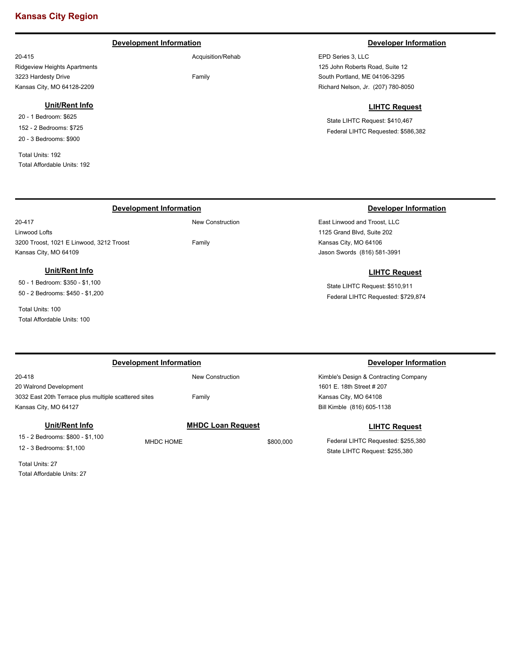### **Kansas City Region**

#### **Development Information Developer Information Developer Information**

Acquisition/Rehab

Family

20-415 Ridgeview Heights Apartments 3223 Hardesty Drive Kansas City, MO 64128-2209

#### **Unit/Rent Info**

20 - 1 Bedroom: \$625 152 - 2 Bedrooms: \$725 20 - 3 Bedrooms: \$900

Total Units: 192 Total Affordable Units: 192

20-417

EPD Series 3, LLC 125 John Roberts Road, Suite 12 South Portland, ME 04106-3295 Richard Nelson, Jr. (207) 780-8050

#### **LIHTC Request**

State LIHTC Request: \$410,467 Federal LIHTC Requested: \$586,382

#### **Development Information Developer Information**

Linwood Lofts 3200 Troost, 1021 E Linwood, 3212 Troost Kansas City, MO 64109

#### **Unit/Rent Info**

50 - 1 Bedroom: \$350 - \$1,100 50 - 2 Bedrooms: \$450 - \$1,200

Total Units: 100 Total Affordable Units: 100

East Linwood and Troost, LLC 1125 Grand Blvd, Suite 202 Kansas City, MO 64106 Jason Swords (816) 581-3991

#### **LIHTC Request**

State LIHTC Request: \$510,911 Federal LIHTC Requested: \$729,874

| Development Information                              |           |                          |           | Developer Information                 |
|------------------------------------------------------|-----------|--------------------------|-----------|---------------------------------------|
| 20-418                                               |           | New Construction         |           | Kimble's Design & Contracting Company |
| 20 Walrond Development                               |           |                          |           | 1601 E. 18th Street # 207             |
| 3032 East 20th Terrace plus multiple scattered sites |           | Family                   |           | Kansas City, MO 64108                 |
| Kansas City, MO 64127                                |           |                          |           | Bill Kimble (816) 605-1138            |
| Unit/Rent Info                                       |           | <b>MHDC Loan Request</b> |           | <b>LIHTC Request</b>                  |
| 15 - 2 Bedrooms: \$800 - \$1,100                     | MHDC HOME |                          | \$800,000 | Federal LIHTC Requested: \$255,380    |
| 12 - 3 Bedrooms: \$1,100                             |           |                          |           | State LIHTC Request: \$255,380        |

Total Units: 27 Total Affordable Units: 27

## New Construction

Family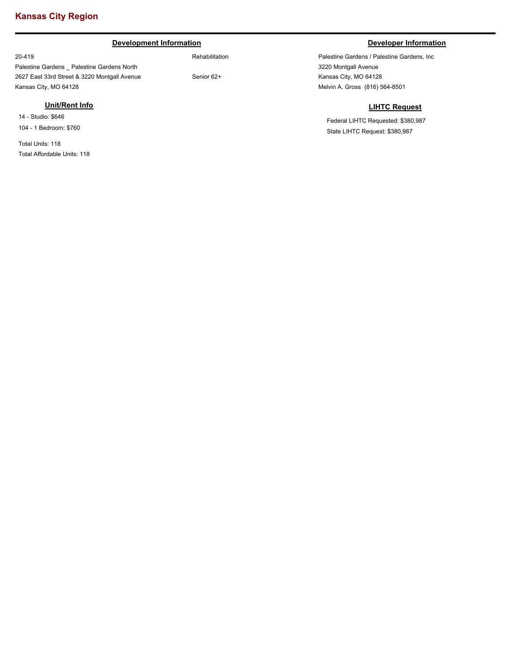### **Kansas City Region**

### **Development Information Developer Information**

20-419

Palestine Gardens \_ Palestine Gardens North 2627 East 33rd Street & 3220 Montgall Avenue Kansas City, MO 64128

#### **Unit/Rent Info**

14 - Studio: \$646 104 - 1 Bedroom: \$760

Total Units: 118 Total Affordable Units: 118

Rehabilitation

Senior 62+

Palestine Gardens / Palestine Gardens, Inc 3220 Montgall Avenue Kansas City, MO 64128 Melvin A. Gross (816) 564-8501

#### **LIHTC Request**

Federal LIHTC Requested: \$380,987 State LIHTC Request: \$380,987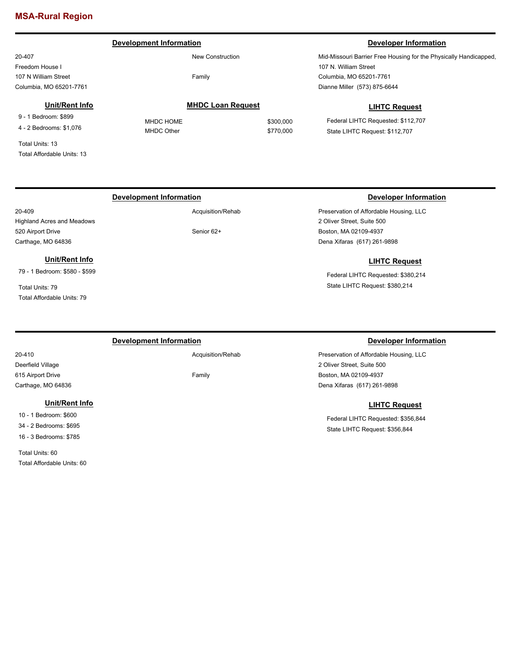### **MSA-Rural Region**

#### 20-407 Freedom House I 107 N William Street Columbia, MO 65201-7761 Mid-Missouri Barrier Free Housing for the Physically Handicapped, 107 N. William Street Columbia, MO 65201-7761 New Construction Family **Development Information Developer Information** Dianne Miller (573) 875-6644 **LIHTC Request** Federal LIHTC Requested: \$112,707 State LIHTC Request: \$112,707 **MHDC Loan Request** MHDC HOME \$300,000 MHDC Other \$770,000 **Unit/Rent Info** 9 - 1 Bedroom: \$899 4 - 2 Bedrooms: \$1,076 Total Units: 13 Total Affordable Units: 13

### **Development Information Developer Information**

20-409 Highland Acres and Meadows 520 Airport Drive Carthage, MO 64836

### **Unit/Rent Info**

79 - 1 Bedroom: \$580 - \$599

Total Units: 79 Total Affordable Units: 79

#### **Development Information Developer Information**

Acquisition/Rehab

Family

**LIHTC Request**

Preservation of Affordable Housing, LLC

2 Oliver Street, Suite 500 Boston, MA 02109-4937 Dena Xifaras (617) 261-9898

Preservation of Affordable Housing, LLC

Federal LIHTC Requested: \$380,214 State LIHTC Request: \$380,214

2 Oliver Street, Suite 500 Boston, MA 02109-4937

Dena Xifaras (617) 261-9898

#### **LIHTC Request**

Federal LIHTC Requested: \$356,844 State LIHTC Request: \$356,844

20-410 Deerfield Village 615 Airport Drive Carthage, MO 64836

#### **Unit/Rent Info**

10 - 1 Bedroom: \$600 34 - 2 Bedrooms: \$695 16 - 3 Bedrooms: \$785

Total Units: 60 Total Affordable Units: 60 Acquisition/Rehab

Senior 62+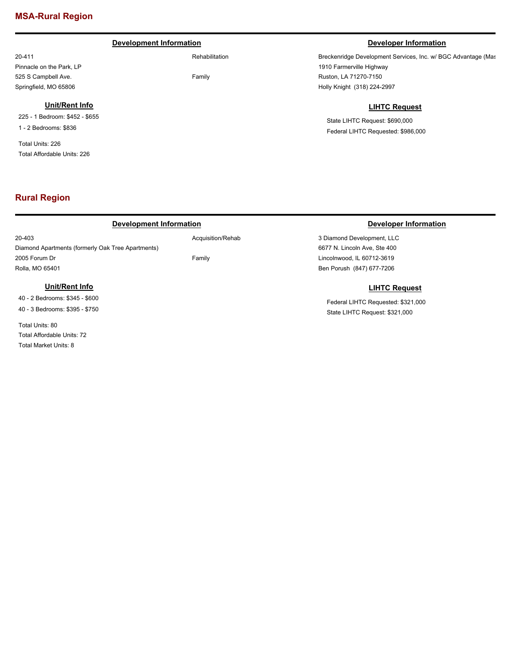### **MSA-Rural Region**

#### **Development Information Developer Information Developer Information**

Rehabilitation

Family

Acquisition/Rehab

Family

Pinnacle on the Park, LP 525 S Campbell Ave. Springfield, MO 65806

20-411

#### **Unit/Rent Info**

225 - 1 Bedroom: \$452 - \$655 1 - 2 Bedrooms: \$836

Total Units: 226 Total Affordable Units: 226

### **Rural Region**

#### **Development Information Developer Information**

20-403 Diamond Apartments (formerly Oak Tree Apartments) 2005 Forum Dr Rolla, MO 65401

### **Unit/Rent Info**

40 - 2 Bedrooms: \$345 - \$600 40 - 3 Bedrooms: \$395 - \$750

Total Units: 80 Total Affordable Units: 72 Total Market Units: 8

Breckenridge Development Services, Inc. w/ BGC Advantage (Mas 1910 Farmerville Highway Ruston, LA 71270-7150 Holly Knight (318) 224-2997

### **LIHTC Request**

State LIHTC Request: \$690,000 Federal LIHTC Requested: \$986,000

3 Diamond Development, LLC 6677 N. Lincoln Ave, Ste 400 Lincolnwood, IL 60712-3619 Ben Porush (847) 677-7206

### **LIHTC Request**

Federal LIHTC Requested: \$321,000 State LIHTC Request: \$321,000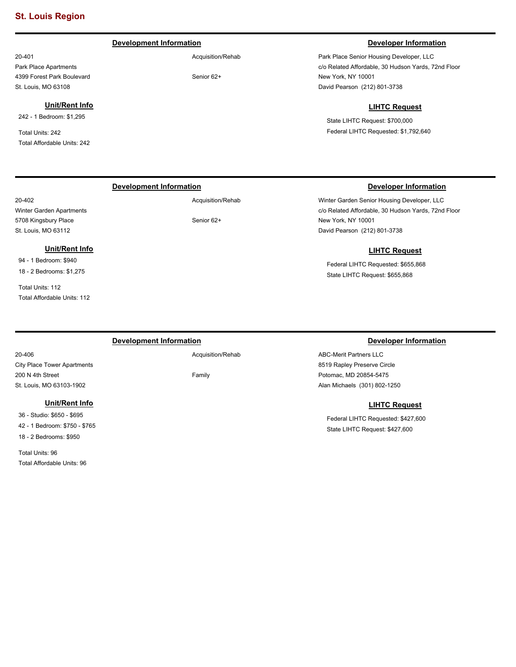Park Place Apartments 4399 Forest Park Boulevard St. Louis, MO 63108

242 - 1 Bedroom: \$1,295

Total Affordable Units: 242

Total Units: 242

20-401

#### **Development Information Developer Information**

Acquisition/Rehab

Senior 62+

Park Place Senior Housing Developer, LLC c/o Related Affordable, 30 Hudson Yards, 72nd Floor New York, NY 10001 David Pearson (212) 801-3738

#### **LIHTC Request**

State LIHTC Request: \$700,000 Federal LIHTC Requested: \$1,792,640

Winter Garden Senior Housing Developer, LLC c/o Related Affordable, 30 Hudson Yards, 72nd Floor

Federal LIHTC Requested: \$655,868

New York, NY 10001

David Pearson (212) 801-3738

### **Development Information Developer Information**

20-402 Winter Garden Apartments 5708 Kingsbury Place St. Louis, MO 63112

### **Unit/Rent Info**

**Unit/Rent Info**

94 - 1 Bedroom: \$940 18 - 2 Bedrooms: \$1,275

Total Units: 112 Total Affordable Units: 112

#### **Development Information Developer Information**

Acquisition/Rehab

Family

### State LIHTC Request: \$655,868

**LIHTC Request**

ABC-Merit Partners LLC 8519 Rapley Preserve Circle Potomac, MD 20854-5475 Alan Michaels (301) 802-1250

#### **LIHTC Request**

Federal LIHTC Requested: \$427,600 State LIHTC Request: \$427,600

20-406 City Place Tower Apartments 200 N 4th Street St. Louis, MO 63103-1902

#### **Unit/Rent Info**

36 - Studio: \$650 - \$695 42 - 1 Bedroom: \$750 - \$765 18 - 2 Bedrooms: \$950

Total Units: 96 Total Affordable Units: 96

Senior 62+

Acquisition/Rehab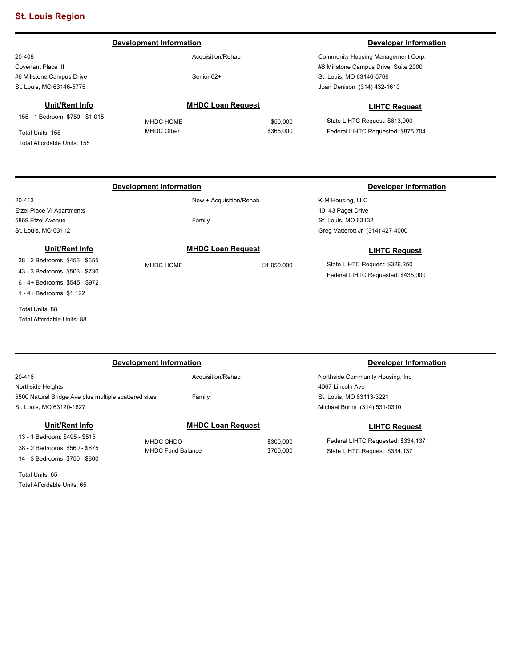### **St. Louis Region**

20-408 Covenant Place III #6 Millstone Campus Drive St. Louis, MO 63146-5775

#### **Unit/Rent Info**

155 - 1 Bedroom: \$750 - \$1,015

Total Units: 155 Total Affordable Units: 155

Acquisition/Rehab

Senior 62+

**MHDC Loan Request** MHDC HOME \$50,000 MHDC Other \$365,000

#### **Development Information Developer Information Developer Information**

Community Housing Management Corp. #8 Millstone Campus Drive, Suite 2000 St. Louis, MO 63146-5766 Joan Denison (314) 432-1610

#### **LIHTC Request**

State LIHTC Request: \$613,000 Federal LIHTC Requested: \$875,704

20-413 Etzel Place VI Apartments 5869 Etzel Avenue St. Louis, MO 63112

### **Unit/Rent Info**

38 - 2 Bedrooms: \$456 - \$655 43 - 3 Bedrooms: \$503 - \$730 6 - 4+ Bedrooms: \$545 - \$972 1 - 4+ Bedrooms: \$1,122

Total Units: 88 Total Affordable Units: 88 New + Acquisition/Rehab Family

### **MHDC Loan Request**

MHDC HOME \$1,050,000

K-M Housing, LLC 10143 Paget Drive St. Louis, MO 63132 Greg Vatterott Jr (314) 427-4000

#### **LIHTC Request**

State LIHTC Request: \$326,250 Federal LIHTC Requested: \$435,000

| Development Information                                         | Developer Information    |           |                                    |  |
|-----------------------------------------------------------------|--------------------------|-----------|------------------------------------|--|
| 20-416                                                          | Acquisition/Rehab        |           | Northside Community Housing, Inc.  |  |
| Northside Heights                                               |                          |           | 4067 Lincoln Ave                   |  |
| 5500 Natural Bridge Ave plus multiple scattered sites<br>Family |                          |           | St. Louis, MO 63113-3221           |  |
| St. Louis, MO 63120-1627                                        |                          |           | Michael Burns (314) 531-0310       |  |
| Unit/Rent Info                                                  | <b>MHDC Loan Request</b> |           | <b>LIHTC Request</b>               |  |
| 13 - 1 Bedroom: \$495 - \$515                                   | MHDC CHDO                | \$300,000 | Federal LIHTC Requested: \$334,137 |  |
| 38 - 2 Bedrooms: \$560 - \$675                                  | <b>MHDC Fund Balance</b> | \$700,000 | State LIHTC Request: \$334,137     |  |
| 14 - 3 Bedrooms: \$750 - \$800                                  |                          |           |                                    |  |

Total Units: 65 Total Affordable Units: 65

### **Development Information Developer Information**